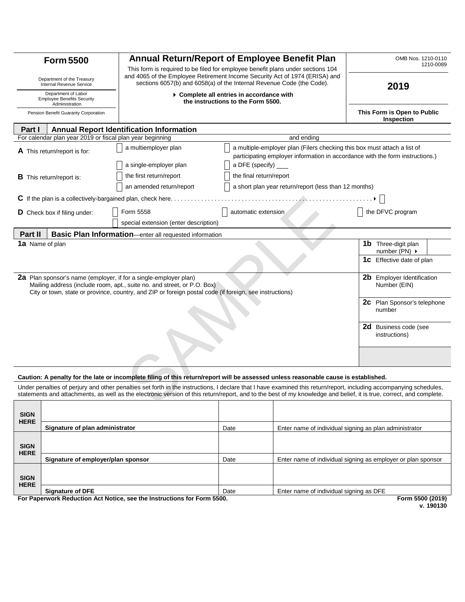| <b>Form 5500</b>                                                                                                                                                                                                                                                                                                                          |                                                           | Annual Return/Report of Employee Benefit Plan                                                                                                                                                                                           |                         |                                                       | OMB Nos. 1210-0110<br>1210-0089                        |  |
|-------------------------------------------------------------------------------------------------------------------------------------------------------------------------------------------------------------------------------------------------------------------------------------------------------------------------------------------|-----------------------------------------------------------|-----------------------------------------------------------------------------------------------------------------------------------------------------------------------------------------------------------------------------------------|-------------------------|-------------------------------------------------------|--------------------------------------------------------|--|
| Department of the Treasury<br>Internal Revenue Service                                                                                                                                                                                                                                                                                    |                                                           | This form is required to be filed for employee benefit plans under sections 104<br>and 4065 of the Employee Retirement Income Security Act of 1974 (ERISA) and<br>sections 6057(b) and 6058(a) of the Internal Revenue Code (the Code). |                         |                                                       | 2019                                                   |  |
| Department of Labor<br><b>Employee Benefits Security</b><br>Administration                                                                                                                                                                                                                                                                |                                                           | ▶ Complete all entries in accordance with<br>the instructions to the Form 5500.                                                                                                                                                         |                         |                                                       |                                                        |  |
| Pension Benefit Guaranty Corporation                                                                                                                                                                                                                                                                                                      |                                                           |                                                                                                                                                                                                                                         |                         |                                                       | This Form is Open to Public<br>Inspection              |  |
| <b>Annual Report Identification Information</b><br><b>Part I</b>                                                                                                                                                                                                                                                                          |                                                           |                                                                                                                                                                                                                                         |                         |                                                       |                                                        |  |
|                                                                                                                                                                                                                                                                                                                                           | For calendar plan year 2019 or fiscal plan year beginning |                                                                                                                                                                                                                                         |                         | and ending                                            |                                                        |  |
| <b>A</b> This return/report is for:                                                                                                                                                                                                                                                                                                       |                                                           | a multiple-employer plan (Filers checking this box must attach a list of<br>a multiemployer plan<br>participating employer information in accordance with the form instructions.)                                                       |                         |                                                       |                                                        |  |
|                                                                                                                                                                                                                                                                                                                                           |                                                           | a single-employer plan                                                                                                                                                                                                                  | a DFE (specify)         |                                                       |                                                        |  |
|                                                                                                                                                                                                                                                                                                                                           | <b>B</b> This return/report is:                           | the first return/report                                                                                                                                                                                                                 | the final return/report |                                                       |                                                        |  |
|                                                                                                                                                                                                                                                                                                                                           |                                                           | an amended return/report                                                                                                                                                                                                                |                         | a short plan year return/report (less than 12 months) |                                                        |  |
|                                                                                                                                                                                                                                                                                                                                           |                                                           | $C$ If the plan is a collectively-bargained plan, check here                                                                                                                                                                            |                         |                                                       |                                                        |  |
| <b>D</b> Check box if filing under:                                                                                                                                                                                                                                                                                                       |                                                           | Form 5558                                                                                                                                                                                                                               | automatic extension     |                                                       | the DFVC program                                       |  |
|                                                                                                                                                                                                                                                                                                                                           |                                                           | special extension (enter description)                                                                                                                                                                                                   |                         |                                                       |                                                        |  |
| Part II                                                                                                                                                                                                                                                                                                                                   |                                                           | <b>Basic Plan Information</b> —enter all requested information                                                                                                                                                                          |                         |                                                       |                                                        |  |
|                                                                                                                                                                                                                                                                                                                                           | <b>1a</b> Name of plan                                    |                                                                                                                                                                                                                                         |                         |                                                       | <b>1b</b> Three-digit plan                             |  |
|                                                                                                                                                                                                                                                                                                                                           |                                                           |                                                                                                                                                                                                                                         |                         |                                                       | number (PN) $\rightarrow$                              |  |
|                                                                                                                                                                                                                                                                                                                                           |                                                           |                                                                                                                                                                                                                                         |                         |                                                       | <b>1C</b> Effective date of plan                       |  |
| <b>2a</b> Plan sponsor's name (employer, if for a single-employer plan)<br><b>Employer Identification</b><br>2b<br>Mailing address (include room, apt., suite no. and street, or P.O. Box)<br>Number (EIN)<br>City or town, state or province, country, and ZIP or foreign postal code (if foreign, see instructions)                     |                                                           |                                                                                                                                                                                                                                         |                         |                                                       |                                                        |  |
|                                                                                                                                                                                                                                                                                                                                           |                                                           |                                                                                                                                                                                                                                         |                         |                                                       | <b>2C</b> Plan Sponsor's telephone<br>number           |  |
|                                                                                                                                                                                                                                                                                                                                           |                                                           |                                                                                                                                                                                                                                         |                         |                                                       | <b>2d</b> Business code (see<br>instructions)          |  |
|                                                                                                                                                                                                                                                                                                                                           |                                                           |                                                                                                                                                                                                                                         |                         |                                                       |                                                        |  |
| Caution: A penalty for the late or incomplete filing of this return/report will be assessed unless reasonable cause is established.                                                                                                                                                                                                       |                                                           |                                                                                                                                                                                                                                         |                         |                                                       |                                                        |  |
| Under penalties of perjury and other penalties set forth in the instructions, I declare that I have examined this return/report, including accompanying schedules,<br>statements and attachments, as well as the electronic version of this return/report, and to the best of my knowledge and belief, it is true, correct, and complete. |                                                           |                                                                                                                                                                                                                                         |                         |                                                       |                                                        |  |
|                                                                                                                                                                                                                                                                                                                                           |                                                           |                                                                                                                                                                                                                                         |                         |                                                       |                                                        |  |
| <b>SIGN</b><br><b>HERE</b>                                                                                                                                                                                                                                                                                                                |                                                           |                                                                                                                                                                                                                                         |                         |                                                       |                                                        |  |
|                                                                                                                                                                                                                                                                                                                                           | Signature of plan administrator                           |                                                                                                                                                                                                                                         | Date                    |                                                       | Enter name of individual signing as plan administrator |  |

YYYYI-MA-DD ABCDEFGHI ABCDEFGHI ABCDEFGHI ABCDEFGHI ABCDEFGHI ABCDEFGHI ABCDEFGHI ABCDEFGHI ABCDEFGHI ABCDEFGH YYYYI-MA-DD ABCDEFGHI ABCDEFGHI ABCDEFGHI ABCDEFGHI ABCDEFGHI ABCDEFGHI ABCDEFGHI ABCDEFGHI ABCDEFGHI ABCDEFGH **SIGN HERE Signature of employer/plan sponsor Date Date Enter name of individual signing as employer or plan sponsor SIGN HERE Signature of DFE Enter name of individual signing as DFE** 

**For Paperwork Reduction Act Notice, see the Instructions for Form 5500. Form 5500 (2019)** 

**Form 5500 (2019)**<br>v. 190130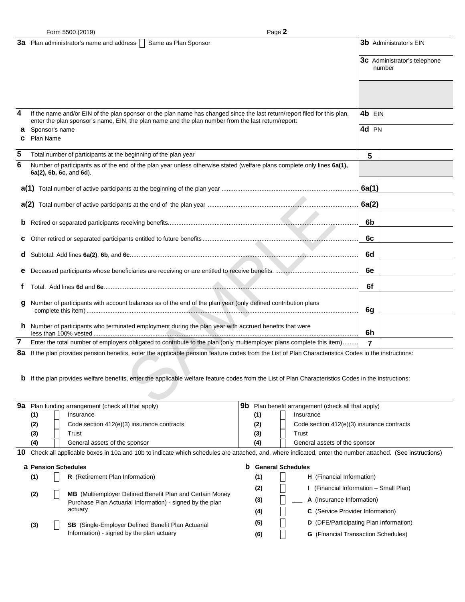|        | Form 5500 (2019)                                                                                | Page 2                                                                                                                                                                                                                                                                                                                                                     |        |                                               |  |
|--------|-------------------------------------------------------------------------------------------------|------------------------------------------------------------------------------------------------------------------------------------------------------------------------------------------------------------------------------------------------------------------------------------------------------------------------------------------------------------|--------|-----------------------------------------------|--|
|        | <b>3a</b> Plan administrator's name and address                                                 | Same as Plan Sponsor                                                                                                                                                                                                                                                                                                                                       |        | <b>3b</b> Administrator's EIN                 |  |
|        |                                                                                                 |                                                                                                                                                                                                                                                                                                                                                            |        | <b>3c</b> Administrator's telephone<br>number |  |
|        |                                                                                                 |                                                                                                                                                                                                                                                                                                                                                            |        |                                               |  |
| 4      |                                                                                                 | If the name and/or EIN of the plan sponsor or the plan name has changed since the last return/report filed for this plan,<br>enter the plan sponsor's name, EIN, the plan name and the plan number from the last return/report:                                                                                                                            | 4b EIN |                                               |  |
| а<br>c | Sponsor's name<br><b>Plan Name</b>                                                              |                                                                                                                                                                                                                                                                                                                                                            |        |                                               |  |
| 5      | Total number of participants at the beginning of the plan year                                  |                                                                                                                                                                                                                                                                                                                                                            | 5      |                                               |  |
| 6      | 6a(2), 6b, 6c, and 6d).                                                                         | Number of participants as of the end of the plan year unless otherwise stated (welfare plans complete only lines 6a(1),                                                                                                                                                                                                                                    |        |                                               |  |
|        |                                                                                                 |                                                                                                                                                                                                                                                                                                                                                            | 6a(1)  |                                               |  |
|        |                                                                                                 |                                                                                                                                                                                                                                                                                                                                                            | 6a(2)  |                                               |  |
|        |                                                                                                 |                                                                                                                                                                                                                                                                                                                                                            | 6b     |                                               |  |
| c      |                                                                                                 |                                                                                                                                                                                                                                                                                                                                                            | 6c     |                                               |  |
| d      |                                                                                                 |                                                                                                                                                                                                                                                                                                                                                            | 6d     |                                               |  |
|        |                                                                                                 |                                                                                                                                                                                                                                                                                                                                                            | 6e     |                                               |  |
| t.     |                                                                                                 |                                                                                                                                                                                                                                                                                                                                                            | 6f     |                                               |  |
| g      |                                                                                                 | Number of participants with account balances as of the end of the plan year (only defined contribution plans                                                                                                                                                                                                                                               | 6g     |                                               |  |
|        |                                                                                                 | <b>h</b> Number of participants who terminated employment during the plan year with accrued benefits that were                                                                                                                                                                                                                                             | 6h     |                                               |  |
| 7      |                                                                                                 | Enter the total number of employers obligated to contribute to the plan (only multiemployer plans complete this item)                                                                                                                                                                                                                                      | 7      |                                               |  |
|        |                                                                                                 | 8a If the plan provides pension benefits, enter the applicable pension feature codes from the List of Plan Characteristics Codes in the instructions:                                                                                                                                                                                                      |        |                                               |  |
|        |                                                                                                 | <b>b</b> If the plan provides welfare benefits, enter the applicable welfare feature codes from the List of Plan Characteristics Codes in the instructions:                                                                                                                                                                                                |        |                                               |  |
|        | $\Omega$ <sup><math>\sigma</math></sup> , $D$ les funding expenses and (about all that explicit | $\overline{\mathbf{0}}$ $\mathbf{b}$ $\overline{\mathbf{0}}$ $\mathbf{b}$ $\overline{\mathbf{0}}$ $\mathbf{b}$ $\overline{\mathbf{0}}$ $\mathbf{0}$ $\mathbf{0}$ $\mathbf{0}$ $\mathbf{0}$ $\mathbf{0}$ $\mathbf{0}$ $\mathbf{0}$ $\mathbf{0}$ $\mathbf{0}$ $\mathbf{0}$ $\mathbf{0}$ $\mathbf{0}$ $\mathbf{0}$ $\mathbf{0}$ $\mathbf{0}$ $\mathbf{0}$ $\$ |        |                                               |  |

Page 2

|    | <b>9a</b> Plan funding arrangement (check all that apply)                                                                                               |  |                                                                 | 9b<br>Plan benefit arrangement (check all that apply) |     |                          |                                               |
|----|---------------------------------------------------------------------------------------------------------------------------------------------------------|--|-----------------------------------------------------------------|-------------------------------------------------------|-----|--------------------------|-----------------------------------------------|
|    | (1)                                                                                                                                                     |  | Insurance                                                       |                                                       | (1) |                          | Insurance                                     |
|    | (2)                                                                                                                                                     |  | Code section 412(e)(3) insurance contracts                      |                                                       | (2) |                          | Code section 412(e)(3) insurance contracts    |
|    | (3)                                                                                                                                                     |  | Trust                                                           |                                                       | (3) |                          | Trust                                         |
|    | (4)                                                                                                                                                     |  | General assets of the sponsor                                   |                                                       | (4) |                          | General assets of the sponsor                 |
| 10 | Check all applicable boxes in 10a and 10b to indicate which schedules are attached, and, where indicated, enter the number attached. (See instructions) |  |                                                                 |                                                       |     |                          |                                               |
|    | <b>a</b> Pension Schedules                                                                                                                              |  | b                                                               |                                                       |     | <b>General Schedules</b> |                                               |
|    | (1)                                                                                                                                                     |  | R (Retirement Plan Information)                                 |                                                       | (1) |                          | <b>H</b> (Financial Information)              |
|    | (2)                                                                                                                                                     |  | <b>MB</b> (Multiemployer Defined Benefit Plan and Certain Money |                                                       | (2) |                          | (Financial Information - Small Plan)          |
|    |                                                                                                                                                         |  | Purchase Plan Actuarial Information) - signed by the plan       |                                                       | (3) |                          | A (Insurance Information)                     |
|    |                                                                                                                                                         |  | actuary                                                         |                                                       | (4) |                          | <b>C</b> (Service Provider Information)       |
|    | (3)                                                                                                                                                     |  | <b>SB</b> (Single-Employer Defined Benefit Plan Actuarial       |                                                       | (5) |                          | <b>D</b> (DFE/Participating Plan Information) |
|    |                                                                                                                                                         |  | Information) - signed by the plan actuary                       |                                                       | (6) |                          | <b>G</b> (Financial Transaction Schedules)    |